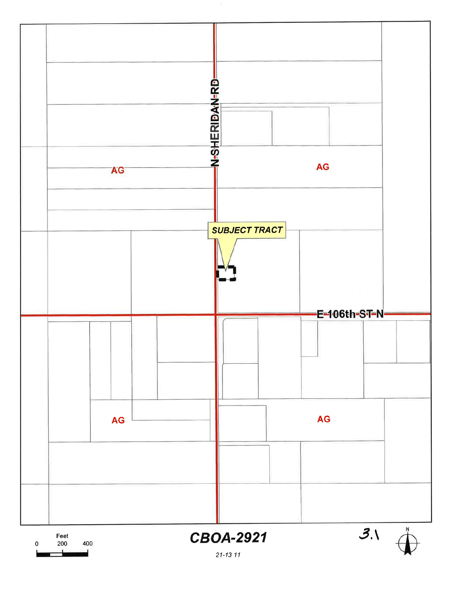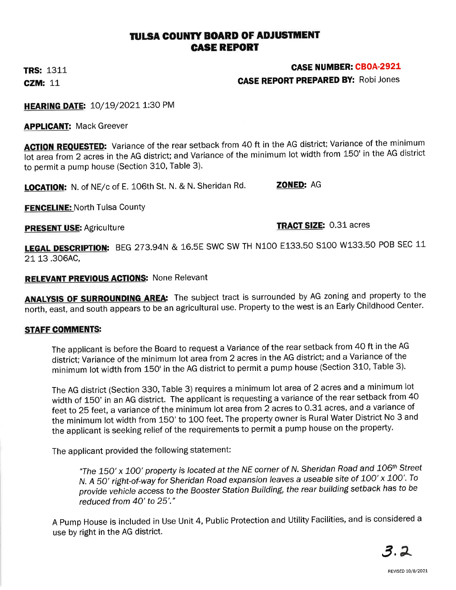### TULSA COUNTY BOARD OF ADJUSTMENT GASE REPORT

**TRS: 1311 CZM: 11** 

#### CASE NUMBER: CBOA-2921

CASE REPORT PREPARED BY: Robi Jones

HEARING DATE: 10/19/2021 1:30 PM

**APPLICANT: Mack Greever** 

**ACTION REQUESTED:** Variance of the rear setback from 40 ft in the AG district; Variance of the minimum lot area from 2 acres in the AG district; and Variance of the minimum lot width from 150' in the AG district to permit a pump house (Section 310, Table 3).

LOCATION: N. of NE/c of E. 106th St. N. & N. Sheridan Rd. **ZONED: AG** 

FENCELINE: North Tulsa County

PRESENT USE: Agriculture TRACT SIZE: 0.31 acres

LEGAL DESCRIPTION: BEG 273.94N & 16.5E SWC SW TH N100 E133.50 S100 W133.50 POB SEC 11 21 13.306AC,

#### **RELEVANT PREVIOUS ACTIONS: None Relevant**

ANALYSIS OF SURROUNDING AREA: The subject tract is surrounded by AG zoning and property to the north, east, and south appears to be an agricultural use. Property to the west is an Early Childhood Center.

#### **STAFF COMMENTS:**

The applicant is before the Board to request a Variance of the rear setback from 40 ft in the AG district; Variance of the minimum lot area from 2 acres in the AG district; and a Variance of the minimum lot width from 150' in the AG district to permit a pump house (Section 31O, Table 3).

The AG district (Section 330, Table 3) requires a minimum lot area of 2 acres and a minimum lot width of 150' in an AG district. The applicant is requesting a variance of the rear setback from 40 feet to 25 feet, a variance of the minimum lot area from 2 acres to 0.31 acres, and a variance of the minimum lot width from 150' to 100 feet. The property owner is Rural Water District No 3 and the applicant is seeking relief of the requirements to permit a pump house on the property.

The applicant provided the following statement:

"The 150' x 100' property is located at the NE corner of N. Sheridan Road and 106<sup>th</sup> Street N. A 50' right-of-way for Sheridan Road expansion leaves a useable site of 100' x 100'. To provide vehicle access to the Booster Station Building, the rear building setback has to be reduced from 40'to 25'"'

A Pump House is included in Use Unit 4, Public Protection and Utility Facilities, and is considered a use by right in the AG district.

3,7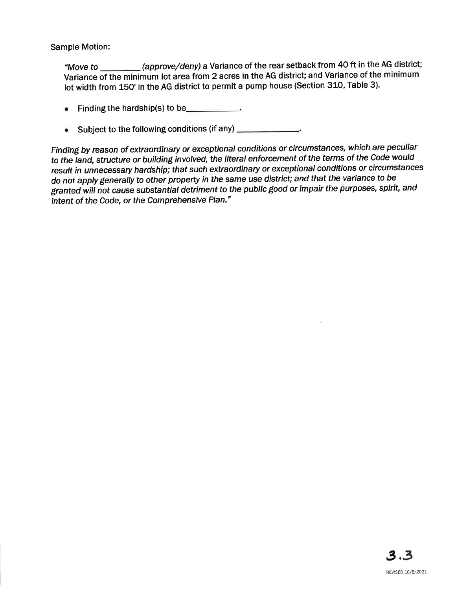Sample Motion:

"Move to \_\_\_\_\_\_\_\_(approve/deny) a Variance of the rear setback from 40 ft in the AG district; Variance of the minimum lot area from 2 acres in the AG district; and Variance of the minimum lot width from 15O' in the AG district to permit a pump house (Section 310, Table 3).

- Finding the hardship(s) to be  $\blacksquare$
- Subject to the following conditions (if any) \_\_\_\_\_\_\_\_\_\_\_\_\_.

Finding by reason of extraordinary or exceptional conditions or circumstances, which are peculiar to the land, structure or building involved, the literal enforcement of the terms of the Code would result in unnecessary hardship; that such extraordinary or exceptional conditions or circumstances do not apply generally to other property in the same use district; and that the variance to be granted will not cause substantial detriment to the public good or impair the purposes, spirit, and intent of the Code, or the Comprehensive Plan."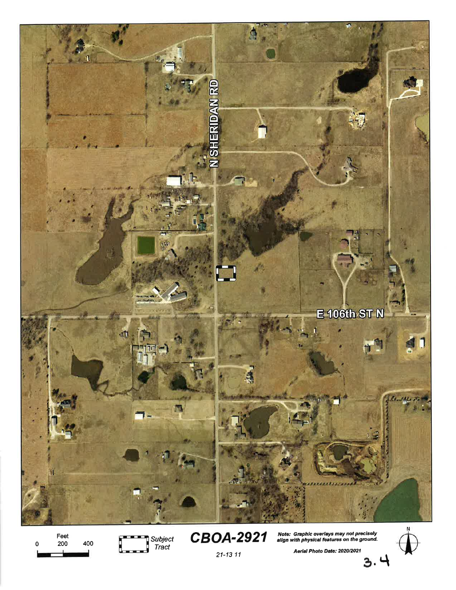

Feet 400  $\pmb{0}$ 200

Subject<br>Tract ļ



Note: Graphic overlays may not precisely<br>align with physical features on the ground.



Aerial Photo Date: 2020/2021

 $21 - 1311$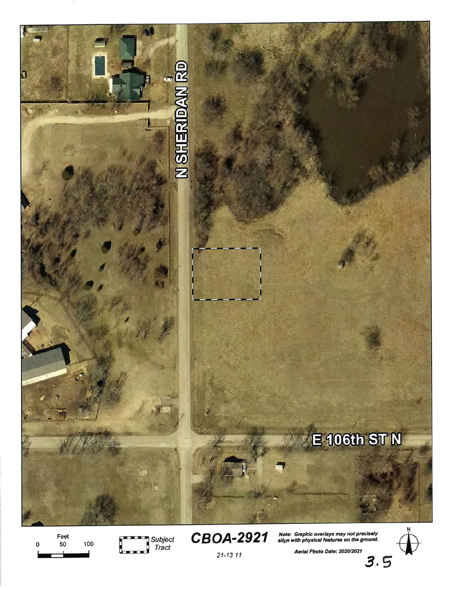

Feet 50 100 n



Note: Graphic overlays may not precisely<br>align with physical features on the ground.

Aerial Photo Date: 2020/2021

 $3.5$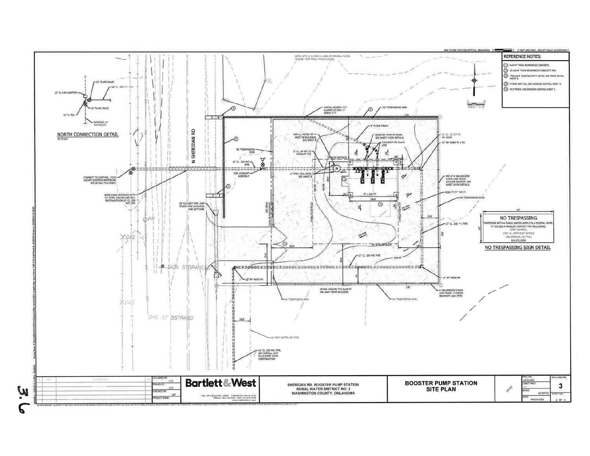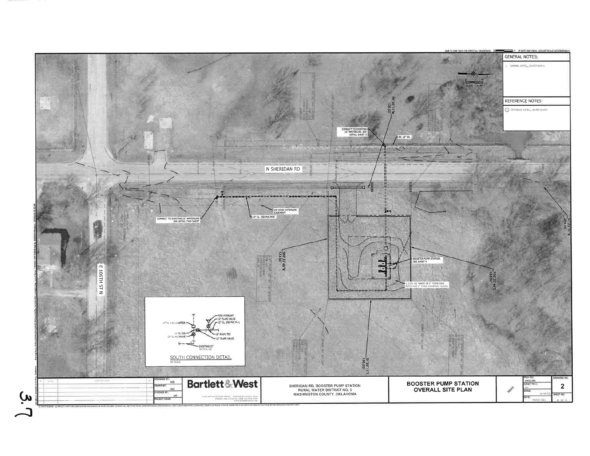